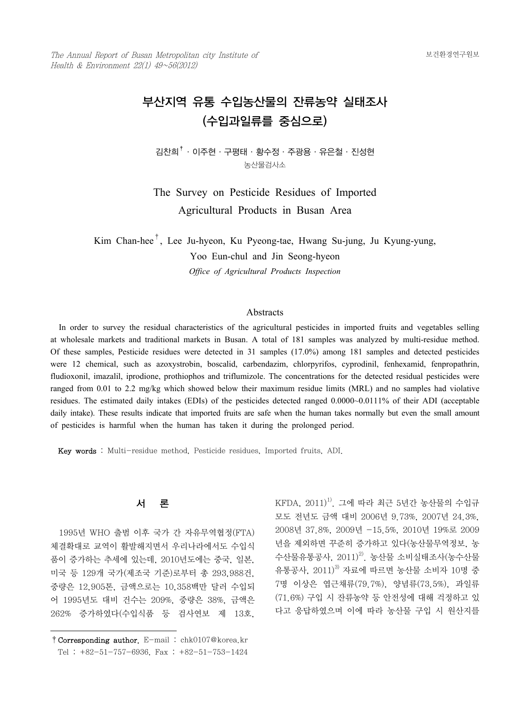The Annual Report of Busan Metropolitan city Institute of Health & Environment  $22(1)$   $49~56(2012)$ 

# 부산지역 유통 수입농산물의 잔류농약 실태조사 (수입과일류를 중심으로)

김찬희†·이주현·구평태·황수정·주광용·유은철·진성현 농산물검사소

The Survey on Pesticide Residues of Imported Agricultural Products in Busan Area

Kim Chan-hee†, Lee Ju-hyeon, Ku Pyeong-tae, Hwang Su-jung, Ju Kyung-yung, Yoo Eun-chul and Jin Seong-hyeon *Office of Agricultural Products Inspection*

### Abstracts

 In order to survey the residual characteristics of the agricultural pesticides in imported fruits and vegetables selling at wholesale markets and traditional markets in Busan. A total of 181 samples was analyzed by multi-residue method. Of these samples, Pesticide residues were detected in 31 samples (17.0%) among 181 samples and detected pesticides were 12 chemical, such as azoxystrobin, boscalid, carbendazim, chlorpyrifos, cyprodinil, fenhexamid, fenpropathrin, fludioxonil, imazalil, iprodione, prothiophos and triflumizole. The concentrations for the detected residual pesticides were ranged from 0.01 to 2.2 mg/kg which showed below their maximum residue limits (MRL) and no samples had violative residues. The estimated daily intakes (EDIs) of the pesticides detected ranged 0.0000~0.0111% of their ADI (acceptable daily intake). These results indicate that imported fruits are safe when the human takes normally but even the small amount of pesticides is harmful when the human has taken it during the prolonged period.

Key words : Multi-residue method, Pesticide residues, Imported fruits, ADI.



 1995년 WHO 출범 이후 국가 간 자유무역협정(FTA) 체결확대로 교역이 활발해지면서 우리나라에서도 수입식 품이 증가하는 추세에 있는데, 2010년도에는 중국, 일본, 미국 등 129개 국가(제조국 기준)로부터 총 293,988건, 중량은 12,905톤, 금액으로는 10,358백만 달러 수입되 어 1995년도 대비 건수는 209%, 중량은 38%, 금액은 262% 증가하였다(수입식품 등 검사연보 제 13호,

 $KFDA$ ,  $2011)^{1)}$ . 그에 따라 최근 5년간 농산물의 수입규 모도 전년도 금액 대비 2006년 9.73%, 2007년 24.3%, 2008년 37.8%, 2009년 -15.5%, 2010년 19%로 2009 년을 제외하면 꾸준히 증가하고 있다(농산물무역정보, 농 수산물유통공사,  $2011)^{2}$ , 농산물 소비실태조사(농수산물 유통공사, 2011)<sup>3)</sup> 자료에 따르면 농산물 소비자 10명 중 7명 이상은 엽근채류(79.7%), 양념류(73.5%), 과일류 (71.6%) 구입 시 잔류농약 등 안전성에 대해 걱정하고 있 다고 응답하였으며 이에 따라 농산물 구입 시 원산지를

<sup>†</sup>Corresponding author. E-mail : chk0107@korea.kr Tel : +82-51-757-6936, Fax : +82-51-753-1424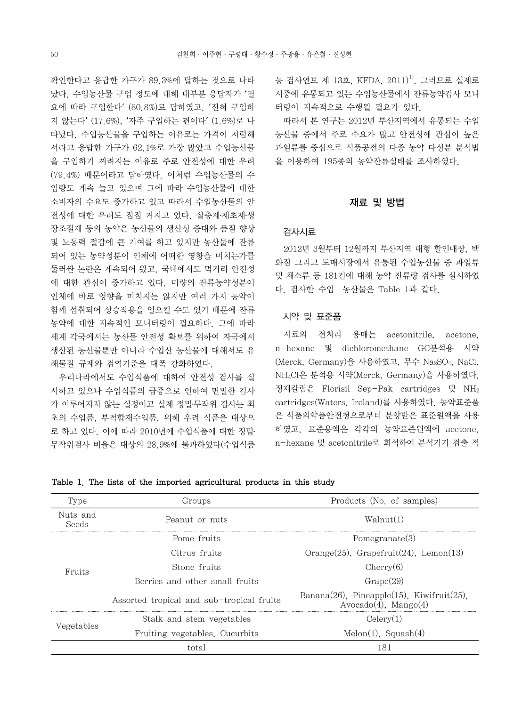확인한다고 응답한 가구가 89.3%에 달하는 것으로 나타 났다. 수입농산물 구입 정도에 대해 대부분 응답자가 '필 요에 따라 구입한다' (80.8%)로 답하였고, '전혀 구입하 지 않는다'(17.6%), '자주 구입하는 편이다' (1.6%)로 나 타났다. 수입농산물을 구입하는 이유로는 가격이 저렴해 서라고 응답한 가구가 62.1%로 가장 많았고 수입농산물 을 구입하기 꺼려지는 이유로 주로 안전성에 대한 우려 (79.4%) 때문이라고 답하였다. 이처럼 수입농산물의 수 입량도 계속 늘고 있으며 그에 따라 수입농산물에 대한 소비자의 수요도 증가하고 있고 따라서 수입농산물의 안 전성에 대한 우려도 점점 커지고 있다. 살충제․제초제․생 장조절제 등의 농약은 농산물의 생산성 증대와 품질 향상 및 노동력 절감에 큰 기여를 하고 있지만 농산물에 잔류 되어 있는 농약성분이 인체에 어떠한 영향을 미치는가를 둘러싼 논란은 계속되어 왔고, 국내에서도 먹거리 안전성 에 대한 관심이 증가하고 있다. 미량의 잔류농약성분이 인체에 바로 영향을 미치지는 않지만 여러 가지 농약이 함께 섭취되어 상승작용을 일으킬 수도 있기 때문에 잔류 농약에 대한 지속적인 모니터링이 필요하다. 그에 따라 세계 각국에서는 농산물 안전성 확보를 위하여 자국에서 생산된 농산물뿐만 아니라 수입산 농산물에 대해서도 유 해물질 규제와 검역기준을 대폭 강화하였다.

 우리나라에서도 수입식품에 대하여 안전성 검사를 실 시하고 있으나 수입식품의 급증으로 인하여 면밀한 검사 가 이루어지지 않는 실정이고 실제 정밀․무작위 검사는 최 초의 수입품, 부적합재수입품, 위해 우려 식품을 대상으 로 하고 있다. 이에 따라 2010년에 수입식품에 대한 정밀․ 무작위검사 비율은 대상의 28.9%에 불과하였다(수입식품 등 검사연보 제 13호, KFDA, 2011)<sup>1)</sup>. 그러므로 실제로 시중에 유통되고 있는 수입농산물에서 잔류농약검사 모니 터링이 지속적으로 수행될 필요가 있다.

 따라서 본 연구는 2012년 부산지역에서 유통되는 수입 농산물 중에서 주로 수요가 많고 안전성에 관심이 높은 과일류를 중심으로 식품공전의 다종 농약 다성분 분석법 을 이용하여 195종의 농약잔류실태를 조사하였다.

#### 재료 및 방법

## 검사시료

 2012년 3월부터 12월까지 부산지역 대형 할인매장, 백 화점 그리고 도매시장에서 유통된 수입농산물 중 과일류 및 채소류 등 181건에 대해 농약 잔류량 검사를 실시하였 다. 검사한 수입 농산물은 Table 1과 같다.

## 시약 및 표준품

 시료의 전처리 용매는 acetonitrile, acetone, n-hexane 및 dichloromethane GC분석용 시약 (Merck, Germany)을 사용하였고, 무수 Na2SO4, NaCl, NH4Cl은 분석용 시약(Merck, Germany)을 사용하였다. 정제칼럼은 Florisil Sep-Pak cartridges 및 NH2 cartridges(Waters, Ireland)를 사용하였다. 농약표준품 은 식품의약품안전청으로부터 분양받은 표준원액을 사용 하였고, 표준용액은 각각의 농약표준원액에 acetone, n-hexane 및 acetonitrile로 희석하여 분석기기 검출 적

| Type              | Groups                                    | Products (No. of samples)                                                           |  |  |
|-------------------|-------------------------------------------|-------------------------------------------------------------------------------------|--|--|
| Nuts and<br>Seeds | Peanut or nuts                            | Walnut(1)                                                                           |  |  |
|                   | Pome fruits                               | Pomegranate(3)                                                                      |  |  |
|                   | Citrus fruits                             | Orange $(25)$ , Grapefruit $(24)$ , Lemon $(13)$                                    |  |  |
| Fruits            | Stone fruits                              | Cherry(6)                                                                           |  |  |
|                   | Berries and other small fruits            | Grape(29)                                                                           |  |  |
|                   | Assorted tropical and sub-tropical fruits | Banana $(26)$ , Pineapple $(15)$ , Kiwifruit $(25)$ ,<br>$Avocado(4)$ . Mango $(4)$ |  |  |
|                   | Stalk and stem vegetables                 | Celerv(1)<br>$Melon(1)$ , Squash $(4)$                                              |  |  |
| Vegetables        | Fruiting vegetables, Cucurbits            |                                                                                     |  |  |
|                   | total                                     | 181                                                                                 |  |  |

Table 1. The lists of the imported agricultural products in this study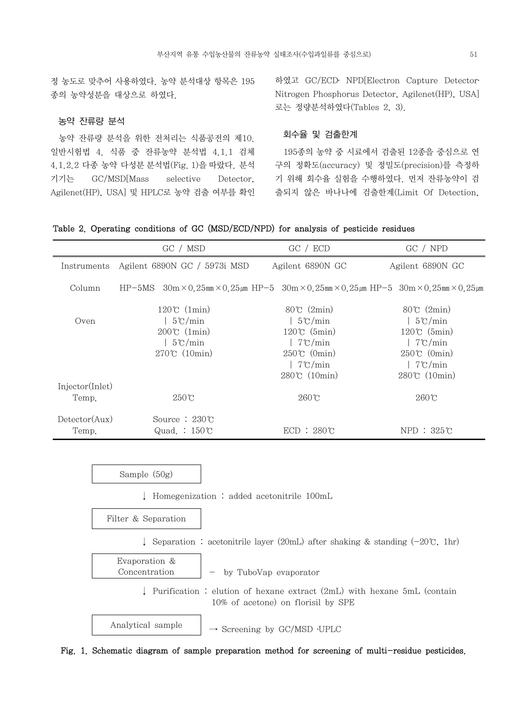정 농도로 맞추어 사용하였다. 농약 분석대상 항목은 195 종의 농약성분을 대상으로 하였다.

## 농약 잔류량 분석

 농약 잔류량 분석을 위한 전처리는 식품공전의 제10. 일반시험법 4. 식품 중 잔류농약 분석법 4.1.1 검체 4.1.2.2 다종 농약 다성분 분석법(Fig. 1)을 따랐다. 분석 기기는 GC/MSD[Mass selective Detector, Agilenet(HP), USA] 및 HPLC로 농약 검출 여부를 확인 하였고 GC/ECD․ NPD[Electron Capture Detector․ Nitrogen Phosphorus Detector, Agilenet(HP), USA] 로는 정량분석하였다(Tables 2, 3).

# 회수율 및 검출한계

 195종의 농약 중 시료에서 검출된 12종을 중심으로 연 구의 정확도(accuracy) 및 정밀도(precision)를 측정하 기 위해 회수율 실험을 수행하였다. 먼저 잔류농약이 검 출되지 않은 바나나에 검출한계(Limit Of Detection,

| Table 2. Operating conditions of GC (MSD/ECD/NPD) for analysis of pesticide residues |  |  |  |  |  |  |  |  |  |  |  |
|--------------------------------------------------------------------------------------|--|--|--|--|--|--|--|--|--|--|--|
|--------------------------------------------------------------------------------------|--|--|--|--|--|--|--|--|--|--|--|

|                        | GC / MSD                                                                                                                     | GC / ECD              | GC / NPD             |
|------------------------|------------------------------------------------------------------------------------------------------------------------------|-----------------------|----------------------|
| Instruments            | Agilent 6890N GC / 5973i MSD                                                                                                 | Agilent 6890N GC      | Agilent 6890N GC     |
| Column                 | $HP-5MS = 30m \times 0.25mm \times 0.25cm$ $HP-5 = 30m \times 0.25mm \times 0.25cm$ $HP-5 = 30m \times 0.25mm \times 0.25cm$ |                       |                      |
|                        | $120\degree$ (1min)                                                                                                          | $80^{\circ}$ (2min)   | $80^{\circ}$ (2min)  |
| Oven                   | $5^{\circ}$ C/min                                                                                                            | $5^{\circ}$ C/min     | $5^{\circ}$ C/min    |
|                        | $200\degree$ (1min)                                                                                                          | $120^{\circ}$ (5min)  | $120^{\circ}$ (5min) |
|                        | $5^{\circ}$ C/min                                                                                                            | $7^{\circ}$ C/min     | $7^{\circ}$ C/min    |
|                        | $270^{\circ}$ (10min)                                                                                                        | $250\degree$ (0min)   | $250^{\circ}$ (0min) |
|                        |                                                                                                                              | $7^{\circ}$ C/min     | $7^{\circ}$ C/min    |
|                        |                                                                                                                              | $280^{\circ}$ (10min) | $280\degree$ (10min) |
| Injector(Inlet)        |                                                                                                                              |                       |                      |
| Temp.                  | $250^{\circ}$ C                                                                                                              | $260^{\circ}$ C       | $260^{\circ}$ C      |
| $\text{detector(Aux)}$ | Source : $230\degree$                                                                                                        |                       |                      |
| Temp.                  | Quad.: $150^{\circ}$                                                                                                         | $ECD: 280^\circ C$    | $NPD: 325^{\circ}C$  |

Sample (50g)

↓ Homegenization : added acetonitrile 100mL

Filter & Separation

↓ Separation : acetonitrile layer (20mL) after shaking & standing (-20℃, 1hr)

Evaporation & Concentration  $\vert - \rangle$  by TuboVap evaporator

> ↓ Purification : elution of hexane extract (2mL) with hexane 5mL (contain 10% of acetone) on florisil by SPE

Analytical sample  $\rightarrow$  Screening by GC/MSD  $\cdot$ UPLC

Fig. 1. Schematic diagram of sample preparation method for screening of multi-residue pesticides.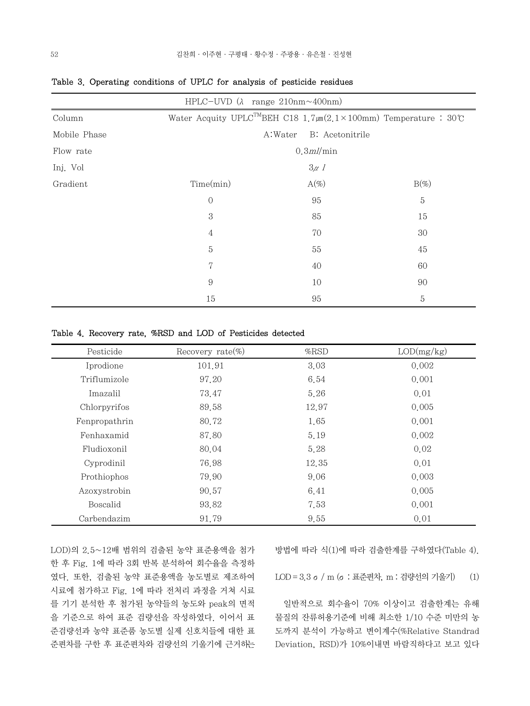|              | HPLC-UVD $(\lambda$ range 210nm $\sim$ 400nm) |                                                                                    |         |  |  |  |
|--------------|-----------------------------------------------|------------------------------------------------------------------------------------|---------|--|--|--|
| Column       |                                               | Water Acquity UPLC <sup>TM</sup> BEH C18 1.7 $\mu$ m(2.1×100mm) Temperature : 30°C |         |  |  |  |
| Mobile Phase | A:Water<br>B: Acetonitrile                    |                                                                                    |         |  |  |  |
| Flow rate    | $0.3$ ml/min                                  |                                                                                    |         |  |  |  |
| Inj. Vol     |                                               | $3\mu$ 1                                                                           |         |  |  |  |
| Gradient     | Time(min)                                     | $A(\%)$                                                                            | $B(\%)$ |  |  |  |
|              | $\mathcal{O}$                                 | 95                                                                                 | 5       |  |  |  |
|              | 3                                             | 85                                                                                 | 15      |  |  |  |
|              | $\overline{4}$                                | 70                                                                                 | 30      |  |  |  |
|              | $\mathbf 5$                                   | 55                                                                                 | 45      |  |  |  |
|              | 7                                             | 40                                                                                 | 60      |  |  |  |
|              | 9                                             | 10                                                                                 | 90      |  |  |  |
|              | 15                                            | 95                                                                                 | 5       |  |  |  |

Table 3. Operating conditions of UPLC for analysis of pesticide residues

Table 4. Recovery rate, %RSD and LOD of Pesticides detected

| Pesticide     | Recovery rate $(\%)$ | $\%$ RSD | LOD(mg/kg) |
|---------------|----------------------|----------|------------|
| Iprodione     | 101.91               | 3.03     | 0.002      |
| Triflumizole  | 97.20                | 6.54     | 0.001      |
| Imazalil      | 73.47                | 5.26     | 0.01       |
| Chlorpyrifos  | 89.58                | 12.97    | 0.005      |
| Fenpropathrin | 80.72                | 1.65     | 0.001      |
| Fenhaxamid    | 87.80                | 5.19     | 0.002      |
| Fludioxonil   | 80.04                | 5.28     | 0.02       |
| Cyprodinil    | 76.98                | 12.35    | 0.01       |
| Prothiophos   | 79.90                | 9.06     | 0.003      |
| Azoxystrobin  | 90.57                | 6.41     | 0.005      |
| Boscalid      | 93.82                | 7.53     | 0.001      |
| Carbendazim   | 91.79                | 9.55     | 0.01       |

LOD)의 2.5~12배 범위의 검출된 농약 표준용액을 첨가 한 후 Fig. 1에 따라 3회 반복 분석하여 회수율을 측정하 였다. 또한, 검출된 농약 표준용액을 농도별로 제조하여 시료에 첨가하고 Fig. 1에 따라 전처리 과정을 거쳐 시료 를 기기 분석한 후 첨가된 농약들의 농도와 peak의 면적 을 기준으로 하여 표준 검량선을 작성하였다. 이어서 표 준검량선과 농약 표준품 농도별 실제 신호치들에 대한 표 준편차를 구한 후 표준편차와 검량선의 기울기에 근거하는 방법에 따라 식(1)에 따라 검출한계를 구하였다(Table 4).

LOD = 3.3 σ/ m (σ: 표준편차, m : 검량선의 기울기) (1)

 일반적으로 회수율이 70% 이상이고 검출한계는 유해 물질의 잔류허용기준에 비해 최소한 1/10 수준 미만의 농 도까지 분석이 가능하고 변이계수(%Relative Standrad Deviation, RSD)가 10%이내면 바람직하다고 보고 있다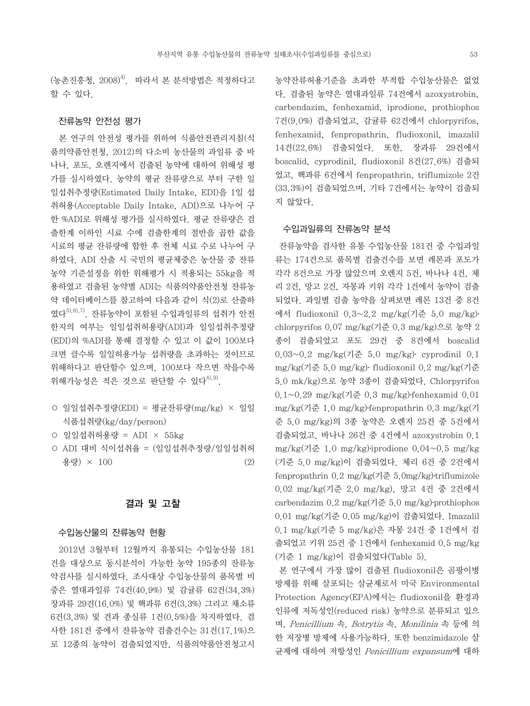$($ 농촌진흥청,  $2008)$ <sup>4)</sup>. 따라서 본 분석방법은 적정하다고 할 수 있다.

## 잔류농약 안전성 평가

 본 연구의 안전성 평가를 위하여 식품안전관리지침(식 품의약품안전청, 2012)의 다소비 농산물의 과일류 중 바 나나, 포도, 오렌지에서 검출된 농약에 대하여 위해성 평 가를 실시하였다. 농약의 평균 잔류량으로 부터 구한 일 일섭취추정량(Estimated Daily Intake, EDI)을 1일 섭 취허용(Acceptable Daily Intake, ADI)으로 나누어 구 한 %ADI로 위해성 평가를 실시하였다. 평균 잔류량은 검 출한계 이하인 시료 수에 검출한계의 절반을 곱한 값을 시료의 평균 잔류량에 합한 후 전체 시료 수로 나누어 구 하였다. ADI 산출 시 국민의 평균체중은 농산물 중 잔류 농약 기준설정을 위한 위해평가 시 적용되는 55kg을 적 용하였고 검출된 농약별 ADI는 식품의약품안전청 잔류농 약 데이터베이스를 참고하여 다음과 같이 식(2)로 산출하 였다 $^{5,6,7)}$ . 잔류농약이 포함된 수입과일류의 섭취가 안전 한지의 여부는 일일섭취허용량(ADI)과 일일섭취추정량 (EDI)의 %ADI를 통해 결정할 수 있고 이 값이 100보다 크면 클수록 일일허용가능 섭취량을 초과하는 것이므로 위해하다고 판단할수 있으며, 100보다 작으면 작을수록 위해가능성은 적은 것으로 판단할 수 있다<sup>8), 9)</sup>.

- 일일섭취추정량(EDI) = 평균잔류량(mg/kg) × 일일 식품섭취량(kg/day/person)
- 일일섭취허용량 = ADI × 55kg
- ADI 대비 식이섭취율 = (일일섭취추정량/일일섭취허 용량 $) \times 100$  (2)

## 결과 및 고찰

#### 수입농산물의 잔류농약 현황

 2012년 3월부터 12월까지 유통되는 수입농산물 181 건을 대상으로 동시분석이 가능한 농약 195종의 잔류농 약검사를 실시하였다. 조사대상 수입농산물의 품목별 비 중은 열대과일류 74건(40.9%) 및 감귤류 62건(34.3%) 장과류 29건(16.0%) 및 핵과류 6건(3.3%) 그리고 채소류 6건(3.3%) 및 견과 종실류 1건(0.5%)을 차지하였다. 검 사한 181건 중에서 잔류농약 검출건수는 31건(17.1%)으 로 12종의 농약이 검출되었지만, 식품의약품안전청고시 농약잔류허용기준을 초과한 부적합 수입농산물은 없었 다. 검출된 농약은 열대과일류 74건에서 azoxystrobin, carbendazim, fenhexamid, iprodione, prothiophos 7건(9.0%) 검출되었고, 감귤류 62건에서 chlorpyrifos, fenhexamid, fenpropathrin, fludioxonil, imazalil 14건(22.6%) 검출되었다. 또한, 장과류 29건에서 boscalid, cyprodinil, fludioxonil 8건(27.6%) 검출되 었고, 핵과류 6건에서 fenpropathrin, triflumizole 2건 (33.3%)이 검출되었으며, 기타 7건에서는 농약이 검출되 지 않았다.

### 수입과일류의 잔류농약 분석

 잔류농약을 검사한 유통 수입농산물 181건 중 수입과일 류는 174건으로 품목별 검출건수를 보면 레몬과 포도가 각각 8건으로 가장 많았으며 오렌지 5건, 바나나 4건, 체 리 2건, 망고 2건, 자몽과 키위 각각 1건에서 농약이 검출 되었다. 과일별 검출 농약을 살펴보면 레몬 13건 중 8건 에서 fludioxonil 0.3~2.2 mg/kg(기준 5.0 mg/kg)․ chlorpyrifos 0.07 mg/kg(기준 0.3 mg/kg)으로 농약 2 종이 검출되었고 포도 29건 중 8건에서 boscalid 0.03~0.2 mg/kg(기준 5.0 mg/kg)․ cyprodinil 0.1 mg/kg(기준 5.0 mg/kg)․ fludioxonil 0.2 mg/kg(기준 5.0 mk/kg)으로 농약 3종이 검출되었다. Chlorpyrifos  $0.1~0.29$  mg/kg(기준 0.3 mg/kg) fenhexamid 0.01 mg/kg(기준 1.0 mg/kg)․fenpropathrin 0.3 mg/kg(기 준 5.0 mg/kg)의 3종 농약은 오렌지 25건 중 5건에서 검출되었고, 바나나 26건 중 4건에서 azoxystrobin 0.1 mg/kg(기준 1.0 mg/kg)⋅iprodione  $0.04~0.5$  mg/kg (기준 5.0 mg/kg)이 검출되었다. 체리 6건 중 2건에서 fenpropathrin 0.2 mg/kg(기준 5.0mg/kg)․triflumizole 0.02 mg/kg(기준 2.0 mg/kg), 망고 4건 중 2건에서 carbendazim  $0.2 \text{ mg/kg}$  $(7\text{)}\approx 5.0 \text{ mg/kg}$  $\cdot$  prothiophos 0.01 mg/kg(기준 0.05 mg/kg)이 검출되었다. Imazalil 0.1 mg/kg(기준 5 mg/kg)은 자몽 24건 중 1건에서 검 출되었고 키위 25건 중 1건에서 fenhexamid 0.5 mg/kg (기준 1 mg/kg)이 검출되었다(Table 5).

 본 연구에서 가장 많이 검출된 fludioxonil은 곰팡이병 방제를 위해 살포되는 살균제로서 미국 Environmental Protection Agency(EPA)에서는 fludioxonil을 환경과 인류에 저독성인(reduced risk) 농약으로 분류되고 있으 며, Penicillium 속, Botrytis 속, Monilinia 속 등에 의 한 저장병 방제에 사용가능하다. 또한 benzimidazole 살 균제에 대하여 저항성인 Penicillium expansum에 대하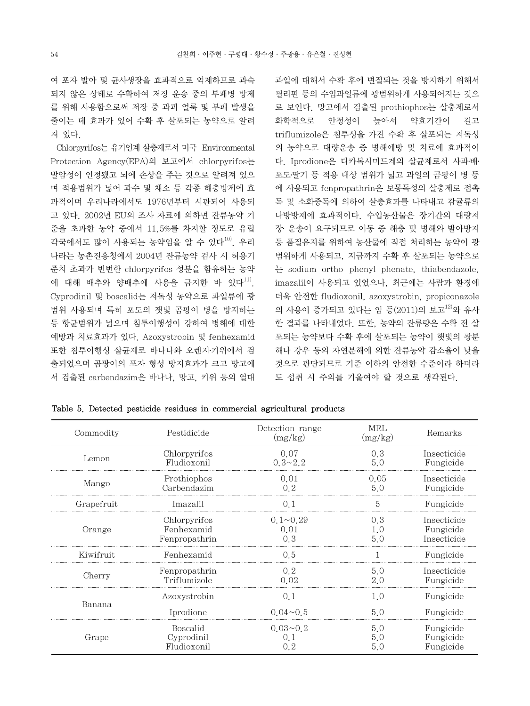여 포자 발아 및 균사생장을 효과적으로 억제하므로 과숙 되지 않은 상태로 수확하여 저장 운송 중의 부패병 방제 를 위해 사용함으로써 저장 중 과피 얼룩 및 부패 발생을 줄이는 데 효과가 있어 수확 후 살포되는 농약으로 알려 져 있다.

 Chlorpyrifos는 유기인계 살충제로서 미국 Environmental Protection Agency(EPA)의 보고에서 chlorpyrifos는 발암성이 인정됐고 뇌에 손상을 주는 것으로 알려져 있으 며 적용범위가 넓어 과수 및 채소 등 각종 해충방제에 효 과적이며 우리나라에서도 1976년부터 시판되어 사용되 고 있다. 2002년 EU의 조사 자료에 의하면 잔류농약 기 준을 초과한 농약 중에서 11.5%를 차지할 정도로 유럽 각국에서도 많이 사용되는 농약임을 알 수 있다<sup>10)</sup>. 우리 나라는 농촌진흥청에서 2004년 잔류농약 검사 시 허용기 준치 초과가 빈번한 chlorpyrifos 성분을 함유하는 농약 에 대해 배추와 양배추에 사용을 금지한 바 있다<sup>11)</sup>. Cyprodinil 및 boscalid는 저독성 농약으로 과일류에 광 범위 사용되며 특히 포도의 잿빛 곰팡이 병을 방지하는 등 항균범위가 넓으며 침투이행성이 강하여 병해에 대한 예방과 치료효과가 있다. Azoxystrobin 및 fenhexamid 또한 침투이행성 살균제로 바나나와 오렌지․키위에서 검 출되었으며 곰팡이의 포자 형성 방지효과가 크고 망고에 서 검출된 carbendazim은 바나나, 망고, 키위 등의 열대 과일에 대해서 수확 후에 변질되는 것을 방지하기 위해서 필리핀 등의 수입과일류에 광범위하게 사용되어지는 것으 로 보인다. 망고에서 검출된 prothiophos는 살충제로서 화학적으로 안정성이 높아서 약효기간이 길고 triflumizole은 침투성을 가진 수확 후 살포되는 저독성 의 농약으로 대량운송 중 병해예방 및 치료에 효과적이 다. Iprodione은 디카복시미드계의 살균제로서 사과․배․ 포도․딸기 등 적용 대상 범위가 넓고 과일의 곰팡이 병 등 에 사용되고 fenpropathrin은 보통독성의 살충제로 접촉 독 및 소화중독에 의하여 살충효과를 나타내고 감귤류의 나방방제에 효과적이다. 수입농산물은 장기간의 대량저 장․ 운송이 요구되므로 이동 중 해충 및 병해와 발아방지 등 품질유지를 위하여 농산물에 직접 처리하는 농약이 광 범위하게 사용되고, 지금까지 수확 후 살포되는 농약으로 는 sodium ortho-phenyl phenate, thiabendazole, imazalil이 사용되고 있었으나, 최근에는 사람과 환경에 더욱 안전한 fludioxonil, azoxystrobin, propiconazole 의 사용이 증가되고 있다는 임 등(2011)의 보고<sup>12)</sup>와 유사 한 결과를 나타내었다. 또한, 농약의 잔류량은 수확 전 살 포되는 농약보다 수확 후에 살포되는 농약이 햇빛의 광분 해나 강우 등의 자연분해에 의한 잔류농약 감소율이 낮을 것으로 판단되므로 기준 이하의 안전한 수준이라 하더라 도 섭취 시 주의를 기울여야 할 것으로 생각된다.

Table 5. Detected pesticide residues in commercial agricultural products

| Commodity  | Pestidicide   | Detection range<br>(mg/kg) | MRL<br>(mg/kg) | Remarks     |
|------------|---------------|----------------------------|----------------|-------------|
| Lemon      | Chlorpyrifos  | 0.07                       | 0.3            | Insecticide |
|            | Fludioxonil   | $0.3 \sim 2.2$             | 5.0            | Fungicide   |
| Mango      | Prothiophos   | 0.01                       | 0.05           | Insecticide |
|            | Carbendazim   | 0, 2                       | 5.0            | Fungicide   |
| Grapefruit | Imazalil      | 0.1                        | 5              | Fungicide   |
| Orange     | Chlorpyrifos  | $0.1 \sim 0.29$            | 0,3            | Insecticide |
|            | Fenhexamid    | 0.01                       | 1.0            | Fungicide   |
|            | Fenpropathrin | 0.3                        | 5.0            | Insecticide |
| Kiwifruit  | Fenhexamid    | 0.5                        |                | Fungicide   |
| Cherry     | Fenpropathrin | 0.2                        | 5.0            | Insecticide |
|            | Triflumizole  | 0.02                       | 2.0            | Fungicide   |
| Banana     | Azoxystrobin  | 0.1                        | 1.0            | Fungicide   |
|            | Iprodione     | $0.04 - 0.5$               | 5.0            | Fungicide   |
| Grape      | Boscalid      | $0.03 \sim 0.2$            | 5.0            | Fungicide   |
|            | Cyprodinil    | 0,1                        | 5.0            | Fungicide   |
|            | Fludioxonil   | 0, 2                       | 5.0            | Fungicide   |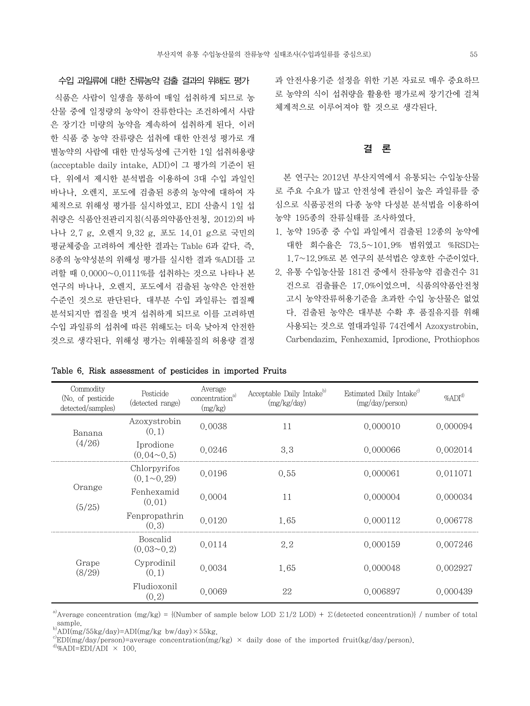식품은 사람이 일생을 통하여 매일 섭취하게 되므로 농 산물 중에 일정량의 농약이 잔류한다는 조건하에서 사람 은 장기간 미량의 농약을 계속하여 섭취하게 된다. 이러 한 식품 중 농약 잔류량은 섭취에 대한 안전성 평가로 개 별농약의 사람에 대한 만성독성에 근거한 1일 섭취허용량 (acceptable daily intake, ADI)이 그 평가의 기준이 된 다. 위에서 제시한 분석법을 이용하여 3대 수입 과일인 바나나, 오렌지, 포도에 검출된 8종의 농약에 대하여 자 체적으로 위해성 평가를 실시하였고, EDI 산출시 1일 섭 취량은 식품안전관리지침(식품의약품안전청, 2012)의 바 나나 2.7 g, 오렌지 9.32 g, 포도 14.01 g으로 국민의 평균체중을 고려하여 계산한 결과는 Table 6과 같다. 즉, 8종의 농약성분의 위해성 평가를 실시한 결과 %ADI를 고 려할 때 0.0000~0.0111%를 섭취하는 것으로 나타나 본 연구의 바나나, 오렌지, 포도에서 검출된 농약은 안전한 수준인 것으로 판단된다. 대부분 수입 과일류는 껍질째 분석되지만 껍질을 벗겨 섭취하게 되므로 이를 고려하면 수입 과일류의 섭취에 따른 위해도는 더욱 낮아져 안전한 것으로 생각된다. 위해성 평가는 위해물질의 허용량 결정 과 안전사용기준 설정을 위한 기본 자료로 매우 중요하므 로 농약의 식이 섭취량을 활용한 평가로써 장기간에 걸쳐 체계적으로 이루어져야 할 것으로 생각된다.

# 결 론

 본 연구는 2012년 부산지역에서 유통되는 수입농산물 로 주요 수요가 많고 안전성에 관심이 높은 과일류를 중 심으로 식품공전의 다종 농약 다성분 분석법을 이용하여 농약 195종의 잔류실태를 조사하였다.

- 1. 농약 195종 중 수입 과일에서 검출된 12종의 농약에 대한 회수율은 73.5~101.9% 범위였고 %RSD는 1.7~12.9%로 본 연구의 분석법은 양호한 수준이었다.
- 2. 유통 수입농산물 181건 중에서 잔류농약 검출건수 31 건으로 검출률은 17.0%이었으며, 식품의약품안전청 고시 농약잔류허용기준을 초과한 수입 농산물은 없었 다. 검출된 농약은 대부분 수확 후 품질유지를 위해 사용되는 것으로 열대과일류 74건에서 Azoxystrobin, Carbendazim, Fenhexamid, Iprodione, Prothiophos

| Commodity<br>(No. of pesticide<br>detected/samples) | Pesticide<br>(detected range)        | Average<br>concentration <sup>a)</sup><br>(mg/kg) | Acceptable Daily Intake <sup>b)</sup><br>(mg/kg/day) | Estimated Daily Intake <sup>c)</sup><br>(mg/day/person) | $\%ADI^{d)}$ |
|-----------------------------------------------------|--------------------------------------|---------------------------------------------------|------------------------------------------------------|---------------------------------------------------------|--------------|
| Banana<br>(4/26)                                    | Azoxystrobin<br>(0,1)                | 0.0038                                            | 11                                                   | 0.000010                                                | 0.000094     |
|                                                     | Iprodione<br>$(0.04 \sim 0.5)$       | 0.0246                                            | 3.3                                                  | 0.000066                                                | 0.002014     |
| Orange<br>(5/25)                                    | Chlorpyrifos<br>$(0, 1 \sim 0.29)$   | 0.0196                                            | 0.55                                                 | 0.000061                                                | 0.011071     |
|                                                     | Fenhexamid<br>(0.01)                 | 0.0004                                            | 11                                                   | 0.000004                                                | 0.000034     |
|                                                     | Fenpropathrin<br>(0, 3)              | 0.0120                                            | 1.65                                                 | 0.000112                                                | 0.006778     |
| Grape<br>(8/29)                                     | <b>Boscalid</b><br>$(0.03 \sim 0.2)$ | 0.0114                                            | 2.2                                                  | 0.000159                                                | 0.007246     |
|                                                     | Cyprodinil<br>(0,1)                  | 0.0034                                            | 1.65                                                 | 0.000048                                                | 0.002927     |
|                                                     | Fludioxonil<br>(0,2)                 | 0.0069                                            | 22                                                   | 0.006897                                                | 0.000439     |

Table 6. Risk assessment of pesticides in imported Fruits

<sup>a)</sup>Average concentration (mg/kg) = {(Number of sample below LOD  $\Sigma$ 1/2 LOD) +  $\Sigma$ (detected concentration)} / number of total sample.

 $ADI(mg/55kg/day)=ADI(mg/kg bw/day)\times55kg$ .

c)EDI(mg/day/person)=average concentration(mg/kg) × daily dose of the imported fruit(kg/day/person). d)%ADI=EDI/ADI × 100.